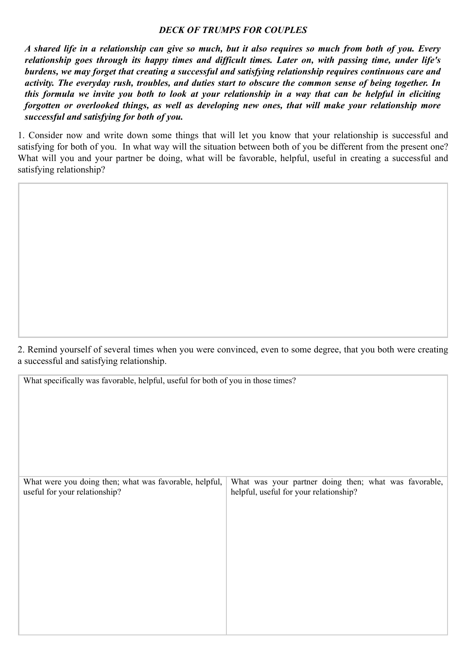## *DECK OF TRUMPS FOR COUPLES*

*A shared life in a relationship can give so much, but it also requires so much from both of you. Every relationship goes through its happy times and difficult times. Later on, with passing time, under life's burdens, we may forget that creating a successful and satisfying relationship requires continuous care and activity. The everyday rush, troubles, and duties start to obscure the common sense of being together. In this formula we invite you both to look at your relationship in a way that can be helpful in eliciting forgotten or overlooked things, as well as developing new ones, that will make your relationship more successful and satisfying for both of you.*

1. Consider now and write down some things that will let you know that your relationship is successful and satisfying for both of you. In what way will the situation between both of you be different from the present one? What will you and your partner be doing, what will be favorable, helpful, useful in creating a successful and satisfying relationship?

2. Remind yourself of several times when you were convinced, even to some degree, that you both were creating a successful and satisfying relationship.

What specifically was favorable, helpful, useful for both of you in those times?

| What were you doing then; what was favorable, helpful,<br>useful for your relationship? | What was your partner doing then; what was favorable,<br>helpful, useful for your relationship? |
|-----------------------------------------------------------------------------------------|-------------------------------------------------------------------------------------------------|
|                                                                                         |                                                                                                 |